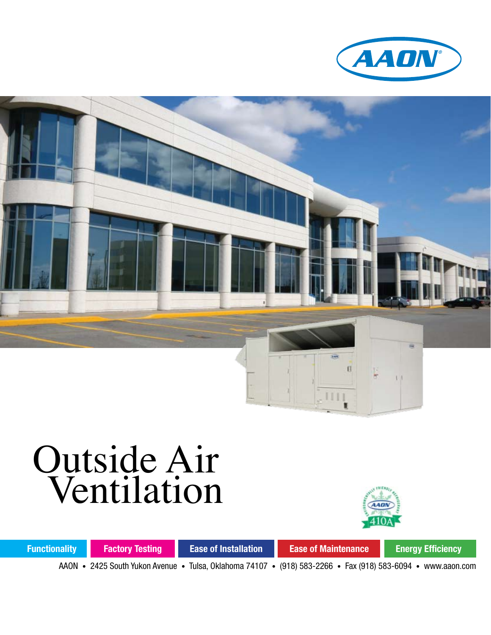



# Outside Air Ventilation



**Functionality Factory Testing Ease of Installation Ease of Maintenance Energy Efficiency** 

AAON • 2425 South Yukon Avenue • Tulsa, Oklahoma 74107 • (918) 583-2266 • Fax (918) 583-6094 • www.aaon.com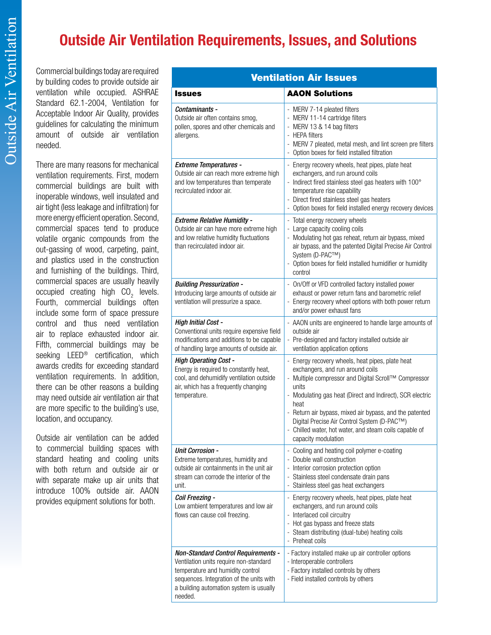## **Outside Air Ventilation Requirements, Issues, and Solutions**

Commercial buildings today are required by building codes to provide outside air ventilation while occupied. ASHRAE Standard 62.1-2004, Ventilation for Acceptable Indoor Air Quality, provides guidelines for calculating the minimum amount of outside air ventilation needed.

There are many reasons for mechanical ventilation requirements. First, modern commercial buildings are built with inoperable windows, well insulated and air tight (less leakage and infiltration) for more energy efficient operation. Second, commercial spaces tend to produce volatile organic compounds from the out-gassing of wood, carpeting, paint, and plastics used in the construction and furnishing of the buildings. Third, commercial spaces are usually heavily occupied creating high  $CO_2$  levels. Fourth, commercial buildings often include some form of space pressure control and thus need ventilation air to replace exhausted indoor air. Fifth, commercial buildings may be seeking LEED® certification, which awards credits for exceeding standard ventilation requirements. In addition, there can be other reasons a building may need outside air ventilation air that are more specific to the building's use, location, and occupancy.

Outside air ventilation can be added to commercial building spaces with standard heating and cooling units with both return and outside air or with separate make up air units that introduce 100% outside air. AAON provides equipment solutions for both.

| <b>Ventilation Air Issues</b>                                                                                                                                                                                              |                                                                                                                                                                                                                                                                                                                                                                                                                       |
|----------------------------------------------------------------------------------------------------------------------------------------------------------------------------------------------------------------------------|-----------------------------------------------------------------------------------------------------------------------------------------------------------------------------------------------------------------------------------------------------------------------------------------------------------------------------------------------------------------------------------------------------------------------|
| <b>Issues</b>                                                                                                                                                                                                              | <b>AAON Solutions</b>                                                                                                                                                                                                                                                                                                                                                                                                 |
| Contaminants -<br>Outside air often contains smog,<br>pollen, spores and other chemicals and<br>allergens.                                                                                                                 | - MERV 7-14 pleated filters<br>- MERV 11-14 cartridge filters<br>- MERV 13 & 14 bag filters<br>- HEPA filters<br>- MERV 7 pleated, metal mesh, and lint screen pre filters<br>Option boxes for field installed filtration                                                                                                                                                                                             |
| <b>Extreme Temperatures -</b><br>Outside air can reach more extreme high<br>and low temperatures than temperate<br>recirculated indoor air.                                                                                | - Energy recovery wheels, heat pipes, plate heat<br>exchangers, and run around coils<br>- Indirect fired stainless steel gas heaters with 100°<br>temperature rise capability<br>- Direct fired stainless steel gas heaters<br>Option boxes for field installed energy recovery devices                                                                                                                               |
| <b>Extreme Relative Humidity -</b><br>Outside air can have more extreme high<br>and low relative humidity fluctuations<br>than recirculated indoor air.                                                                    | - Total energy recovery wheels<br>- Large capacity cooling coils<br>- Modulating hot gas reheat, return air bypass, mixed<br>air bypass, and the patented Digital Precise Air Control<br>System (D-PAC™)<br>Option boxes for field installed humidifier or humidity<br>$\frac{1}{2}$<br>control                                                                                                                       |
| <b>Building Pressurization -</b><br>Introducing large amounts of outside air<br>ventilation will pressurize a space.                                                                                                       | - On/Off or VFD controlled factory installed power<br>exhaust or power return fans and barometric relief<br>- Energy recovery wheel options with both power return<br>and/or power exhaust fans                                                                                                                                                                                                                       |
| <b>High Initial Cost -</b><br>Conventional units require expensive field<br>modifications and additions to be capable<br>of handling large amounts of outside air.                                                         | - AAON units are engineered to handle large amounts of<br>outside air<br>- Pre-designed and factory installed outside air<br>ventilation application options                                                                                                                                                                                                                                                          |
| <b>High Operating Cost -</b><br>Energy is required to constantly heat,<br>cool, and dehumidify ventilation outside<br>air, which has a frequently changing<br>temperature.                                                 | - Energy recovery wheels, heat pipes, plate heat<br>exchangers, and run around coils<br>- Multiple compressor and Digital Scroll™ Compressor<br>units<br>- Modulating gas heat (Direct and Indirect), SCR electric<br>heat<br>- Return air bypass, mixed air bypass, and the patented<br>Digital Precise Air Control System (D-PAC™)<br>- Chilled water, hot water, and steam coils capable of<br>capacity modulation |
| <b>Unit Corrosion -</b><br>Extreme temperatures, humidity and<br>outside air containments in the unit air<br>stream can corrode the interior of the<br>unit.                                                               | - Cooling and heating coil polymer e-coating<br>- Double wall construction<br>- Interior corrosion protection option<br>- Stainless steel condensate drain pans<br>Stainless steel gas heat exchangers<br>-                                                                                                                                                                                                           |
| Coil Freezing -<br>Low ambient temperatures and low air<br>flows can cause coil freezing.                                                                                                                                  | - Energy recovery wheels, heat pipes, plate heat<br>exchangers, and run around coils<br>- Interlaced coil circuitry<br>- Hot gas bypass and freeze stats<br>- Steam distributing (dual-tube) heating coils<br>- Preheat coils                                                                                                                                                                                         |
| <b>Non-Standard Control Requirements -</b><br>Ventilation units require non-standard<br>temperature and humidity control<br>sequences. Integration of the units with<br>a building automation system is usually<br>needed. | - Factory installed make up air controller options<br>- Interoperable controllers<br>- Factory installed controls by others<br>- Field installed controls by others                                                                                                                                                                                                                                                   |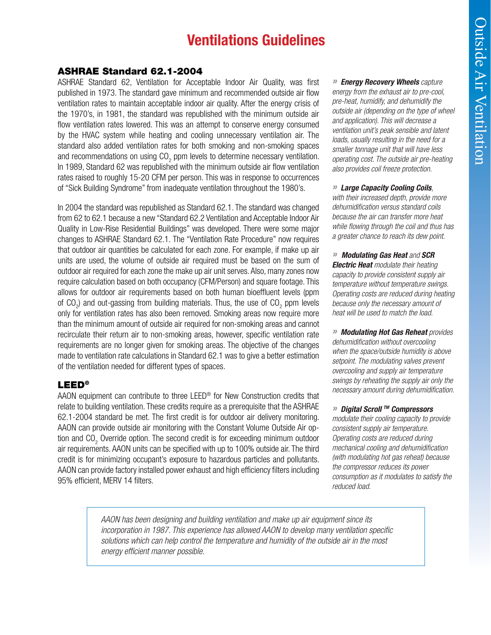## **Ventilations Guidelines**

#### ASHRAE Standard 62.1-2004

ASHRAE Standard 62, Ventilation for Acceptable Indoor Air Quality, was first published in 1973. The standard gave minimum and recommended outside air flow ventilation rates to maintain acceptable indoor air quality. After the energy crisis of the 1970's, in 1981, the standard was republished with the minimum outside air flow ventilation rates lowered. This was an attempt to conserve energy consumed by the HVAC system while heating and cooling unnecessary ventilation air. The standard also added ventilation rates for both smoking and non-smoking spaces and recommendations on using CO<sub>2</sub> ppm levels to determine necessary ventilation. In 1989, Standard 62 was republished with the minimum outside air flow ventilation rates raised to roughly 15-20 CFM per person. This was in response to occurrences of "Sick Building Syndrome" from inadequate ventilation throughout the 1980's.

In 2004 the standard was republished as Standard 62.1. The standard was changed from 62 to 62.1 because a new "Standard 62.2 Ventilation and Acceptable Indoor Air Quality in Low-Rise Residential Buildings" was developed. There were some major changes to ASHRAE Standard 62.1. The "Ventilation Rate Procedure" now requires that outdoor air quantities be calculated for each zone. For example, if make up air units are used, the volume of outside air required must be based on the sum of outdoor air required for each zone the make up air unit serves. Also, many zones now require calculation based on both occupancy (CFM/Person) and square footage. This allows for outdoor air requirements based on both human bioeffluent levels (ppm of CO<sub>2</sub>) and out-gassing from building materials. Thus, the use of CO<sub>2</sub> ppm levels only for ventilation rates has also been removed. Smoking areas now require more than the minimum amount of outside air required for non-smoking areas and cannot recirculate their return air to non-smoking areas, however, specific ventilation rate requirements are no longer given for smoking areas. The objective of the changes made to ventilation rate calculations in Standard 62.1 was to give a better estimation of the ventilation needed for different types of spaces.

#### LEED®

AAON equipment can contribute to three LEED® for New Construction credits that relate to building ventilation. These credits require as a prerequisite that the ASHRAE 62.1-2004 standard be met. The first credit is for outdoor air delivery monitoring. AAON can provide outside air monitoring with the Constant Volume Outside Air option and CO<sub>2</sub> Override option. The second credit is for exceeding minimum outdoor air requirements. AAON units can be specified with up to 100% outside air. The third credit is for minimizing occupant's exposure to hazardous particles and pollutants. AAON can provide factory installed power exhaust and high efficiency filters including 95% efficient, MERV 14 filters.

*» Energy Recovery Wheels capture energy from the exhaust air to pre-cool, pre-heat, humidify, and dehumidify the outside air (depending on the type of wheel and application). This will decrease a ventilation unit's peak sensible and latent loads, usually resulting in the need for a smaller tonnage unit that will have less operating cost. The outside air pre-heating also provides coil freeze protection.*

#### *» Large Capacity Cooling Coils,*

*with their increased depth, provide more dehumidification versus standard coils because the air can transfer more heat while flowing through the coil and thus has a greater chance to reach its dew point.*

*» Modulating Gas Heat and SCR Electric Heat modulate their heating capacity to provide consistent supply air temperature without temperature swings. Operating costs are reduced during heating because only the necessary amount of heat will be used to match the load.*

*» Modulating Hot Gas Reheat provides dehumidification without overcooling when the space/outside humidity is above setpoint. The modulating valves prevent overcooling and supply air temperature swings by reheating the supply air only the necessary amount during dehumidification.* 

#### *» Digital Scroll TM Compressors*

*modulate their cooling capacity to provide consistent supply air temperature. Operating costs are reduced during mechanical cooling and dehumidification (with modulating hot gas reheat) because the compressor reduces its power consumption as it modulates to satisfy the reduced load.*

*AAON has been designing and building ventilation and make up air equipment since its incorporation in 1987. This experience has allowed AAON to develop many ventilation specific solutions which can help control the temperature and humidity of the outside air in the most energy efficient manner possible.*